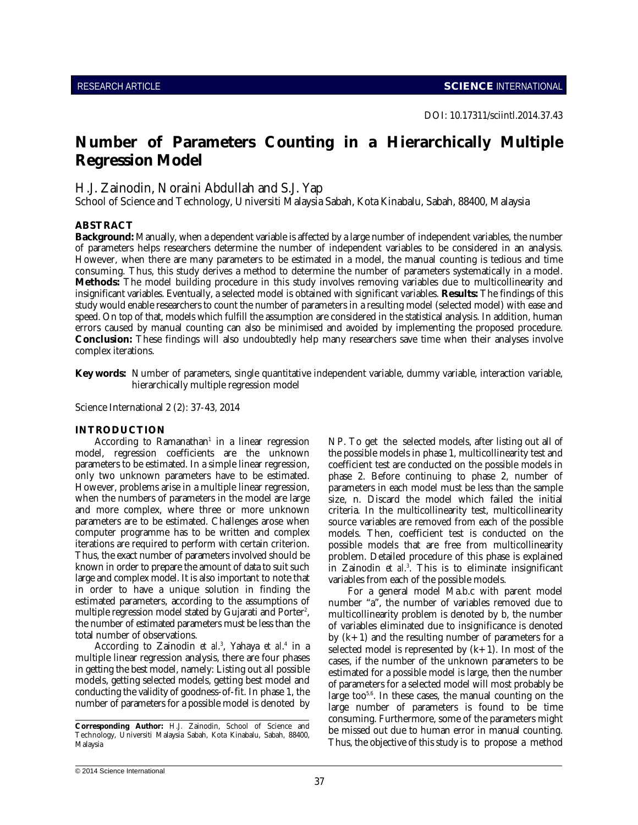# **Number of Parameters Counting in a Hierarchically Multiple Regression Model**

# H.J. Zainodin, Noraini Abdullah and S.J. Yap

School of Science and Technology, Universiti Malaysia Sabah, Kota Kinabalu, Sabah, 88400, Malaysia

### **ABSTRACT**

**Background:** Manually, when a dependent variable is affected by a large number of independent variables, the number of parameters helps researchers determine the number of independent variables to be considered in an analysis. However, when there are many parameters to be estimated in a model, the manual counting is tedious and time consuming. Thus, this study derives a method to determine the number of parameters systematically in a model. **Methods:** The model building procedure in this study involves removing variables due to multicollinearity and insignificant variables. Eventually, a selected model is obtained with significant variables. **Results:** The findings of this study would enable researchers to count the number of parameters in a resulting model (selected model) with ease and speed. On top of that, models which fulfill the assumption are considered in the statistical analysis. In addition, human errors caused by manual counting can also be minimised and avoided by implementing the proposed procedure. **Conclusion:** These findings will also undoubtedly help many researchers save time when their analyses involve complex iterations.

**Key words:** Number of parameters, single quantitative independent variable, dummy variable, interaction variable, hierarchically multiple regression model

Science International 2 (2): 37-43, 2014

## **INTRODUCTION**

According to Ramanathan<sup>1</sup> in a linear regression model, regression coefficients are the unknown parameters to be estimated. In a simple linear regression, only two unknown parameters have to be estimated. However, problems arise in a multiple linear regression, when the numbers of parameters in the model are large and more complex, where three or more unknown parameters are to be estimated. Challenges arose when computer programme has to be written and complex iterations are required to perform with certain criterion. Thus, the exact number of parameters involved should be known in order to prepare the amount of data to suit such large and complex model. It is also important to note that in order to have a unique solution in finding the estimated parameters, according to the assumptions of multiple regression model stated by Gujarati and Porter<sup>2</sup>, the number of estimated parameters must be less than the total number of observations.

According to Zainodin *et al.*<sup>3</sup>, Yahaya *et al.*<sup>4</sup> in a multiple linear regression analysis, there are four phases in getting the best model, namely: Listing out all possible models, getting selected models, getting best model and conducting the validity of goodness-of-fit. In phase 1, the number of parameters for a possible model is denoted by NP. To get the selected models, after listing out all of the possible models in phase 1, multicollinearity test and coefficient test are conducted on the possible models in phase 2. Before continuing to phase 2, number of parameters in each model must be less than the sample size, n. Discard the model which failed the initial criteria. In the multicollinearity test, multicollinearity source variables are removed from each of the possible models. Then, coefficient test is conducted on the possible models that are free from multicollinearity problem. Detailed procedure of this phase is explained in Zainodin et al.<sup>3</sup>. This is to eliminate insignificant variables from each of the possible models.

For a general model Ma.b.c with parent model number "a", the number of variables removed due to multicollinearity problem is denoted by b, the number of variables eliminated due to insignificance is denoted by  $(k+1)$  and the resulting number of parameters for a selected model is represented by  $(k+1)$ . In most of the cases, if the number of the unknown parameters to be estimated for a possible model is large, then the number of parameters for a selected model will most probably be large too $5.6$ . In these cases, the manual counting on the large number of parameters is found to be time consuming. Furthermore, some of the parameters might be missed out due to human error in manual counting. Thus, the objective of this study is to propose a method

**Corresponding Author:** H.J. Zainodin, School of Science and Technology, Universiti Malaysia Sabah, Kota Kinabalu, Sabah, 88400, Malaysia

<sup>© 2014</sup> Science International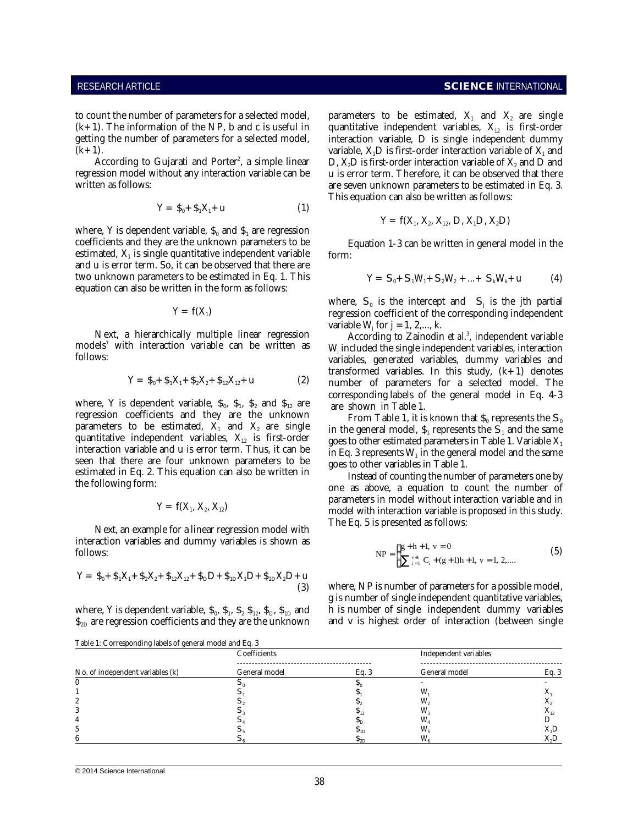$(k+1)$ . The information of the NP, b and c is useful in getting the number of parameters for a selected model,  $(k+1)$ .

According to Gujarati and Porter<sup>2</sup>, a simple linear regression model without any interaction variable can be written as follows:

$$
Y = \mathfrak{F}_0 + \mathfrak{F}_1 X_1 + u \tag{1}
$$

where, Y is dependent variable,  $\$_0$  and  $\$_1$  are regression coefficients and they are the unknown parameters to be estimated,  $\mathbf{X}_1$  is single quantitative independent variable and u is error term. So, it can be observed that there are two unknown parameters to be estimated in Eq. 1. This equation can also be written in the form as follows:

$$
Y\,=\,f(X_{\scriptscriptstyle 1})
$$

Next, a hierarchically multiple linear regression  $\mathbf{models}^7$  with interaction variable can be written as follows:

$$
Y = \mathbf{\$}_0 + \mathbf{\$}_1 X_1 + \mathbf{\$}_2 X_2 + \mathbf{\$}_{12} X_{12} + u \tag{2}
$$

where, Y is dependent variable,  $\$_0, \; \$_1, \; \$_2$  and  $\$_{12}$  are regression coefficients and they are the unknown parameters to be estimated,  $\mathbf{X}_1$  and  $\mathbf{X}_2$  are single quantitative independent variables,  $X_{12}$  is first-order interaction variable and u is error term. Thus, it can be seen that there are four unknown parameters to be estimated in Eq. 2. This equation can also be written in the following form:

$$
Y = f(X_1, X_2, X_{12})
$$

Next, an example for a linear regression model with interaction variables and dummy variables is shown as follows:

$$
Y = \, \$_0 + \, \$_1X_1 + \, \$_2X_2 + \, \$_12X_{12} + \, \$_D D + \, \$_1DX_1D + \, \$_2DX_2D + u \tag{3}
$$

where, Y is dependent variable,  $\$_0, \, \$_1, \, \$_2 \, \$_{12}, \, \$_{D}, \, \$_{1D}$  and  $\$_{2D}$  are regression coefficients and they are the unknown

to count the number of parameters for a selected model, and parameters to be estimated,  $X_1$  and  $X_2$  are single quantitative independent variables,  $X_{12}$  is first-order interaction variable, D is single independent dummy variable,  $\rm X_iD$  is first-order interaction variable of  $\rm X_i$  and D,  $\rm X_2D$  is first-order interaction variable of  $\rm X_2$  and  $\rm D$  and u is error term. Therefore, it can be observed that there are seven unknown parameters to be estimated in Eq. 3. This equation can also be written as follows:

$$
Y = f(X_1, X_2, X_{12}, D, X_1D, X_2D)
$$

Equation 1-3 can be written in general model in the form:

$$
Y = S_0 + S_1 W_1 + S_2 W_2 + ... + S_k W_k + u \tag{4}
$$

where,  $S_0$  is the intercept and  $S_i$  is the jth partial regression coefficient of the corresponding independent variable  $W_i$  for  $j = 1, 2, \ldots, k$ .

According to Zainodin *et al.*<sup>3</sup>, independent variable  $\mathrm{W}_{\mathrm{i}}$  included the single independent variables, interaction variables, generated variables, dummy variables and transformed variables. In this study,  $(k+1)$  denotes number of parameters for a selected model. The corresponding labels of the general model in Eq. 4-3 are shown in Table 1.

From Table 1, it is known that  $\$_0$  represents the  $\mathsf{S}_0$ in the general model,  $\$_1$  represents the  $\mathsf{S}_1$  and the same goes to other estimated parameters in Table 1. Variable  $X_1$ in Eq. 3 represents  $\mathrm{W}_\text{\tiny{1}}$  in the general model and the same goes to other variables in Table 1.

Instead of counting the number of parameters one by one as above, a equation to count the number of parameters in model without interaction variable and in model with interaction variable is proposed in this study. The Eq. 5 is presented as follows:

$$
NP = \begin{cases} g+h+1, \ v=0\\ \sum_{i=1}^{v+1} C_i + (g+1)h+1, \ v=1, 2,... \end{cases}
$$
 (5)

where, NP is number of parameters for a possible model, g is number of single independent quantitative variables, h is number of single independent dummy variables and v is highest order of interaction (between single

| Table 1: Corresponding labels of general model and Eq. 3 |               |      |                       |                   |  |
|----------------------------------------------------------|---------------|------|-----------------------|-------------------|--|
|                                                          | Coefficients  |      | Independent variables |                   |  |
| No. of independent variables (k)                         | General model | Eq.3 | General model         | Eq. 3             |  |
|                                                          |               |      |                       |                   |  |
|                                                          |               |      | W                     | л                 |  |
|                                                          |               |      | W.                    |                   |  |
|                                                          |               |      | W,                    | $\mathbf{A}_{12}$ |  |
|                                                          |               |      |                       |                   |  |
|                                                          |               |      |                       | X,D               |  |
| 6                                                        |               |      | W.                    | X,D               |  |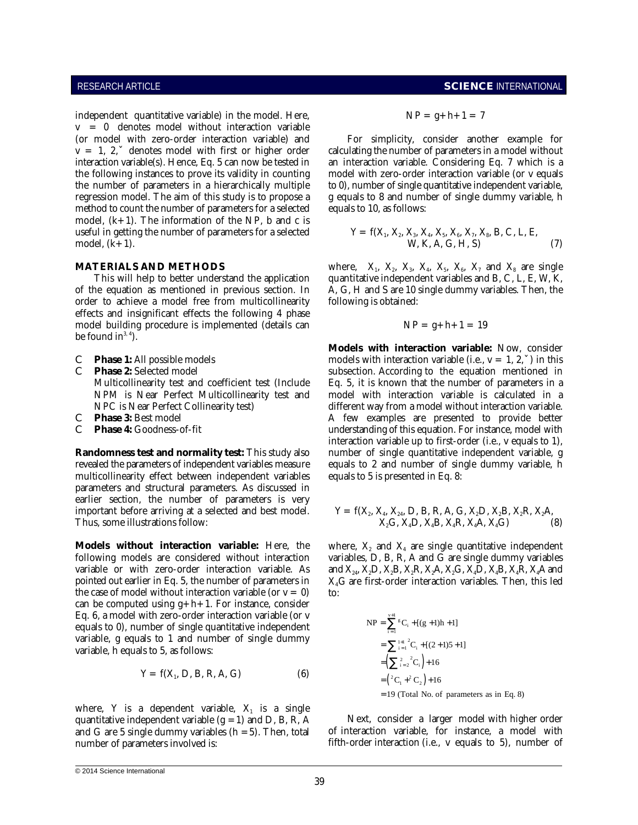independent quantitative variable) in the model. Here, v = 0 denotes model without interaction variable (or model with zero-order interaction variable) and For simplicity, consider another example for  $v = 1$ , 2, $\ddot{v}$  denotes model with first or higher order calculating the number of parameters in a model without interaction variable(s). Hence, Eq. 5 can now be tested in an interaction variable. Considering Eq. 7 which is a the following instances to prove its validity in counting model with zero-order interaction variable (or v equals the number of parameters in a hierarchically multiple to 0), number of single quantitative independent variable, regression model. The aim of this study is to propose a g equals to 8 and number of single dummy variable, h method to count the number of parameters for a selected equals to 10, as follows: model,  $(k+1)$ . The information of the NP, b and c is useful in getting the number of parameters for a selected model,  $(k+1)$ .

of the equation as mentioned in previous section. In  $\overline{A}$ , G, H and S are 10 single dummy variables. Then, the order to achieve a model free from multicollinearity following is obtained: effects and insignificant effects the following 4 phase model building procedure is implemented (details can be found  $in<sup>3, 4</sup>$ ).

- 
- 
- 
- 

revealed the parameters of independent variables measure equals to 2 and number of single dummy variable, h multicollinearity effect between independent variables equals to 5 is presented in Eq. 8: parameters and structural parameters. As discussed in earlier section, the number of parameters is very important before arriving at a selected and best model. Thus, some illustrations follow:

**Models without interaction variable:** Here, the following models are considered without interaction variable or with zero-order interaction variable. As pointed out earlier in Eq. 5, the number of parameters in the case of model without interaction variable (or  $v = 0$ ) can be computed using  $g+h+1$ . For instance, consider Eq. 6, a model with zero-order interaction variable (or v equals to 0), number of single quantitative independent variable, g equals to 1 and number of single dummy variable, h equals to 5, as follows:

$$
Y = f(X_1, D, B, R, A, G)
$$
 (6)

where, Y is a dependent variable,  $X_1$  is a single quantitative independent variable  $(g = 1)$  and D, B, R, A and G are 5 single dummy variables  $(h = 5)$ . Then, total number of parameters involved is:

# RESEARCH ARTICLE **SCIENCE** INTERNATIONAL

$$
NP = g+h+1 = 7
$$

$$
Y = f(X_1, X_2, X_3, X_4, X_5, X_6, X_7, X_8, B, C, L, E,W, K, A, G, H, S)
$$
 (7)

**MATERIALS AND METHODS** where,  $X_1$ ,  $X_2$ ,  $X_3$ ,  $X_4$ ,  $X_5$ ,  $X_6$ ,  $X_7$  and  $X_8$  are single This will help to better understand the application quantitative independent variables and B, C, L, E, W, K,

$$
NP = g + h + 1 = 19
$$

**C Phase 1:** All possible models **nodels** models with interaction variable (i.e.,  $v = 1, 2, \ddot{y}$ ) in this C **Phase 2:** Selected model subsection. According to the equation mentioned in Multicollinearity test and coefficient test (Include Eq. 5, it is known that the number of parameters in a NPM is Near Perfect Multicollinearity test and model with interaction variable is calculated in a NPC is Near Perfect Collinearity test) different way from a model without interaction variable. C **Phase 3:** Best model **A** few examples are presented to provide better C **Phase 4:** Goodness-of-fit **A** few examples are presented to provide better C **Phase 4:** Goodness-of-fit understanding of this equation. For instance, model with **Randomness test and normality test:** This study also number of single quantitative independent variable, g **Models with interaction variable:** Now, consider interaction variable up to first-order (i.e., v equals to 1),

$$
Y = f(X_2, X_4, X_{24}, D, B, R, A, G, X_2D, X_2B, X_2R, X_2A, X_2G, X_4D, X_4B, X_4R, X_4A, X_4G)
$$
 (8)

where,  $X_2$  and  $X_4$  are single quantitative independent variables, D, B, R, A and G are single dummy variables and  $X_{24}$ ,  $X_2D$ ,  $X_2B$ ,  $X_2R$ ,  $X_2A$ ,  $X_2G$ ,  $X_4D$ ,  $X_4B$ ,  $X_4R$ ,  $X_4A$  and X4G are first-order interaction variables. Then, this led to:

NP = 
$$
\sum_{i=1}^{v+1} {^g}C_i + [(g+1)h+1]
$$
  
\n=  $\sum_{i=1}^{1+1} {^2}C_i + [(2+1)5+1]$   
\n=  $(\sum_{i=2}^{2} {^2}C_i) + 16$   
\n=  ${^2}C_1 + {^2}C_2$  + 16  
\n= 19 (Total No. of parameters as in Eq. 8)

Next, consider a larger model with higher order of interaction variable, for instance, a model with fifth-order interaction (i.e., v equals to 5), number of

<sup>© 2014</sup> Science International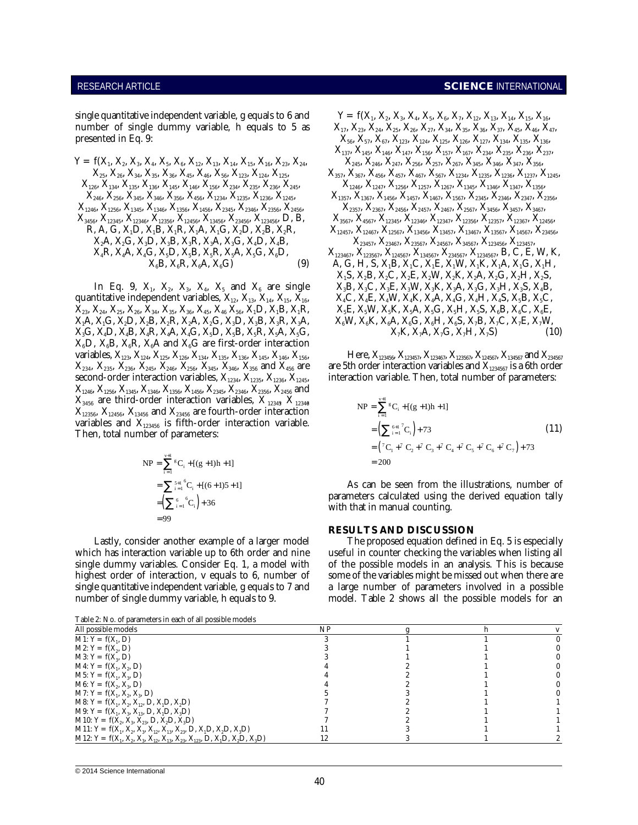single quantitative independent variable, g equals to 6 and number of single dummy variable, h equals to 5 as  $X_{17}$ ,  $X_{23}$ ,  $X_{24}$ ,  $X_{25}$ ,  $X_{26}$ ,  $X_{27}$ ,  $X_{34}$ ,  $X_{35}$ ,  $X_{36}$ ,  $X_{37}$ ,  $X_{45}$ ,  $X_{46}$ ,  $X_{47}$ , presented in Eq. 9:  $X_{56}, X_{57}, X_{67}, X_{67}, X_{123}, X_{124}, X_{125}, X_{126}, X_{124}, X_{136}, X_{136}, X_{136}$ 

X , X , X , X , X , X , X , X , X , X , X , X , X , X , X , X , X , X , X , X , <sup>126</sup> <sup>134</sup> <sup>135</sup> <sup>136</sup> <sup>145</sup> <sup>146</sup> <sup>156</sup> <sup>234</sup> <sup>235</sup> <sup>236</sup> <sup>245</sup> 1246 1247 1256 1257 1267 1345 1346 1347 1356 X , X , X , X , X , X , X , X , X , X , X , X , X , X , X , X , X , X , X , <sup>1246</sup> <sup>1256</sup> <sup>1345</sup> <sup>1346</sup> <sup>1356</sup> <sup>1456</sup> <sup>2345</sup> <sup>2346</sup> <sup>2356</sup> <sup>2456</sup> 2357 2367 2456 2457 2467 2567 3456 3457 3467 X , X , X , X , X , X , X , X , D, B, X , X , X , X , X , X , X , X , X , <sup>3456</sup> <sup>12345</sup> <sup>12346</sup> <sup>12356</sup> <sup>12456</sup> <sup>13456</sup> <sup>23456</sup> <sup>123456</sup> 3567 4567 12345 12346 12347 12356 12357 12367 12456 X A, X G, X D, X B, X R, X A, X G, X D, X B, X , X , X , X , X , X , X , <sup>2</sup> <sup>2</sup> <sup>3</sup> <sup>3</sup> <sup>3</sup> <sup>3</sup> <sup>3</sup> <sup>4</sup> <sup>4</sup> 23457 23467 23567 24567 34567 123456 123457

quantitative independent variables,  $X_{12}$ ,  $X_{13}$ ,  $X_{14}$ ,  $X_{15}$ ,  $X_{16}$ ,  $X_{23}$ ,  $X_{24}$ ,  $X_{25}$ ,  $X_{26}$ ,  $X_{34}$ ,  $X_{35}$ ,  $X_{36}$ ,  $X_{45}$ ,  $X_{46}$   $X_{56}$ ,  $X_{1}D$ ,  $X_{1}B$ ,  $X_{1}R$ ,  $X_1A, X_1G, X_2D, X_2B, X_2R, X_2A, X_2G, X_3D, X_3B, X_3R, X_3A,$  $X_3G, X_4D, X_4B, X_4R, X_4A, X_4G, X_5D, X_5B, X_5R, X_5A, X_5G, X_6K, X_7A, X_7G, X_7H, X_7S)$  (10)  $X_6$ D,  $X_6$ B,  $X_6$ R,  $X_6$ A and  $X_6$ G are first-order interaction variables,  $X_{123}$ ,  $X_{124}$ ,  $X_{125}$ ,  $X_{126}$ ,  $X_{134}$ ,  $X_{135}$ ,  $X_{136}$ ,  $X_{145}$ ,  $X_{146}$ ,  $X_{156}$ ,  $X_{234}$ ,  $X_{235}$ ,  $X_{236}$ ,  $X_{245}$ ,  $X_{246}$ ,  $X_{256}$ ,  $X_{345}$ ,  $X_{346}$ ,  $X_{356}$  and  $X_{456}$  are second-order interaction variables,  $X_{1234}$ ,  $X_{1235}$ ,  $X_{1236}$ ,  $X_{1245}$ , interaction variable. Then, total number of parameters:  $X_{1246}$ ,  $X_{1256}$ ,  $X_{1345}$ ,  $X_{1346}$ ,  $X_{1356}$ ,  $X_{1456}$ ,  $X_{2345}$ ,  $X_{2346}$ ,  $X_{2356}$ ,  $X_{2456}$  and  $X_{3456}$  are third-order interaction variables,  $X_{12345}$   $X_{12346}$  $X_{12356}$ ,  $X_{12456}$ ,  $X_{13456}$  and  $X_{23456}$  are fourth-order interaction variables and  $X_{123456}$  is fifth-order interaction variable. Then, total number of parameters:

NP = 
$$
\sum_{i=1}^{v+1} {^{8}C_i} + [(g+1)h+1]
$$
  
= 
$$
\sum_{i=1}^{5+1} {^{6}C_i} + [(6+1)5+1]
$$
  
= 
$$
\left(\sum_{i=1}^{6} {^{6}C_i}\right) + 36
$$
  
= 99

Lastly, consider another example of a larger model The proposed equation defined in Eq. 5 is especially which has interaction variable up to 6th order and nine useful in counter checking the variables when listing all single dummy variables. Consider Eq. 1, a model with of the possible models in an analysis. This is because highest order of interaction, v equals to 6, number of some of the variables might be missed out when there are single quantitative independent variable, g equals to 7 and a large number of parameters involved in a possible number of single dummy variable, h equals to 9. model. Table 2 shows all the possible models for an

### RESEARCH ARTICLE **SCIENCE** INTERNATIONAL

 $\rm Y = \, f(X_1,\,X_2,\,X_3,\,X_4,\,X_5,\,X_6,\,X_{12},\,X_{13},\,X_{14},\,X_{15},\,X_{16},\,X_{23},\,X_{24},\qquad\qquad X_{245},\,X_{246},\,X_{247},\,X_{256},\,X_{257},\,X_{267},\,X_{345},\,X_{346},\,X_{347},\,X_{356},$  $\mathrm{X_{25},\,X_{26},\,X_{34},\,X_{35},\,X_{36},\,X_{45},\,X_{46},\,X_{56},\,X_{123},\,X_{124},\,X_{125},\qquad\qquad X_{357},\,X_{367},\,X_{456},\,X_{457},\,X_{467},\,X_{567},\,X_{1234},\,X_{1235},\,X_{1236},\,X_{1237},\,X_{1245},\,X_{1256},\,X_{1265},\,X_{127},\,X_{1285},\,X_{129$  $\mathrm{X_{246},\, X_{256},\, X_{345},\, X_{346},\, X_{356},\, X_{456},\, X_{1234},\, X_{1235},\, X_{1236},\, X_{1245},\qquad \qquad \mathrm{X_{1357},\, X_{1367},\, X_{1456},\, X_{1457},\, X_{1467},\, X_{1567},\, X_{2345},\, X_{2346},\, X_{2347},\, X_{2356},}\$ R, A, G, X D, X B, X R, X A, X G, X D, X B, X R, X , X , X , X , X , X , X , X , X , <sup>1</sup> <sup>1</sup> <sup>1</sup> <sup>1</sup> <sup>1</sup> <sup>2</sup> <sup>2</sup> <sup>2</sup> 12457 12467 12567 13456 13457 13467 13567 14567 23456  $X_4R, X_4A, X_4G, X_5D, X_5B, X_5R, X_5A, X_5G, X_6D, \hspace{1cm} X_{123467}, X_{123567}, X_{124567}, X_{134567}, X_{234567}, X_{1234567}, B, C, E, W, K,$  $X_1, X_5, D, X_5, D, X_5, D, X_5, A, X_5, A, X_6, D,$ <br>  $X_1, X_2, X_3, B, X_4, X_5, A, X_6, D,$ <br>  $X_6, X_7, X_1, X_2, X_3, A, X_4, X_5, A, X_6, D,$ <br>  $X_7, X_8, X_9, X_1, X_2, X_3, A, X_4, X_5, X_6, X_7, X_8, X_9, X_9, X_1, X_2, X_3, X_4, X_5, X_6, X_7, X_8, X_9, X_9, X_1, X_$ In Eq. 9,  $X_1$ ,  $X_2$ ,  $X_3$ ,  $X_4$ ,  $X_5$  and  $X_6$  are single  $X_3B$ ,  $X_3C$ ,  $X_3E$ ,  $X_3W$ ,  $X_3K$ ,  $X_3A$ ,  $X_3G$ ,  $X_3H$ ,  $X_3S$ ,  $X_4B$ ,  $Y = f(X_1, X_2, X_3, X_4, X_5, X_6, X_7, X_{12}, X_{13}, X_{14}, X_{15}, X_{16},$  $X_{137}$ ,  $X_{145}$ ,  $X_{146}$ ,  $X_{147}$ ,  $X_{156}$ ,  $X_{157}$ ,  $X_{167}$ ,  $X_{234}$ ,  $X_{235}$ ,  $X_{236}$ ,  $X_{237}$ ,  $1\mu$ ,  $\Lambda_1$ C,  $\Lambda_1$ E,  $\Lambda_1$ W,  $\Lambda_1$ IX,  $\Lambda_1$ A,  $\Lambda_1$ G,  $\Lambda_1$  $X_1S$ ,  $X_2B$ ,  $X_2C$ ,  $X_2E$ ,  $X_2W$ ,  $X_2K$ ,  $X_2A$ ,  $X_2G$ ,  $X_2H$ ,  $X_2S$ ,  $X_4C$ ,  $X_4E$ ,  $X_4W$ ,  $X_4K$ ,  $X_4A$ ,  $X_4G$ ,  $X_4H$ ,  $X_4S$ ,  $X_5B$ ,  $X_5C$ ,  $X_{5}E$ ,  $X_{5}W$ ,  $X_{5}K$ ,  $X_{5}A$ ,  $X_{5}G$ ,  $X_{5}H$ ,  $X_{5}S$ ,  $X_{6}B$ ,  $X_{6}C$ ,  $X_{6}E$ ,  $X_6W$ ,  $X_6K$ ,  $X_6A$ ,  $X_6G$ ,  $X_6H$ ,  $X_6S$ ,  $X_7B$ ,  $X_7C$ ,  $X_7E$ ,  $X_7W$ ,  $X_7K$ ,  $X_7A$ ,  $X_7G$ ,  $X_7H$ ,  $X_7S$ )

,  $\rm{X_{236},\ X_{245},\ X_{246},\ X_{256},\ X_{345},\ X_{346},\ X_{356} \ and\ X_{456} \ are\ \_\$  are  $\_\$  are  $5th$  order interaction variables and  $\rm{X_{1234567}}$  is a  $6th$  order Here,  $X_{\scriptscriptstyle{123456}}, X_{\scriptscriptstyle{123457}}, X_{\scriptscriptstyle{123467}}, X_{\scriptscriptstyle{123567}}, X_{\scriptscriptstyle{124567}}, X_{\scriptscriptstyle{134567}} \, \rm{and} \, X_{\scriptscriptstyle{234567}}$ 

NP = 
$$
\sum_{i=1}^{v+1} {^{g}C_{i} + [(g+1)h+1]}
$$
  
= 
$$
\left(\sum_{i=1}^{6+1} {^{7}C_{i}}\right) + 73
$$
  
= 
$$
{^{7}C_{1} + {^{7}C_{2} + {^{7}C_{3} + {^{7}C_{4} + {^{7}C_{5} + {^{7}C_{6} + {^{7}C_{7}}}}}} + 73
$$
  
= 200 (11)

As can be seen from the illustrations, number of parameters calculated using the derived equation tally with that in manual counting.

### **RESULTS AND DISCUSSION**

| Table 2: INO. Of parameters in each of all possible models                        |    |  |  |
|-----------------------------------------------------------------------------------|----|--|--|
| All possible models                                                               | NP |  |  |
| $M1: Y = f(X_1, D)$                                                               |    |  |  |
| $M2: Y = f(X_2, D)$                                                               |    |  |  |
| $M3: Y = f(X_3, D)$                                                               |    |  |  |
| $M4: Y = f(X_1, X_2, D)$                                                          |    |  |  |
| $M5: Y = f(X_1, X_3, D)$                                                          |    |  |  |
| $M6: Y = f(X_2, X_3, D)$                                                          |    |  |  |
| $M7: Y = f(X_1, X_2, X_3, D)$                                                     |    |  |  |
| M8: $Y = f(X_1, X_2, X_1, D, X_1, D, X_2, D)$                                     |    |  |  |
| M9: Y = $f(X_1, X_2, X_1, D, X_1, D, X_2, D)$                                     |    |  |  |
| M10: $Y = f(X_2, X_3, X_2, D, X_2, D, X_3, D)$                                    |    |  |  |
| M11: Y = $f(X_1, X_2, X_3, X_{12}, X_{13}, X_{23}, D, X_1D, X_2D, X_3D)$          |    |  |  |
| M12: Y = $f(X_1, X_2, X_3, X_{12}, X_{13}, X_{23}, X_{123}, D, X_1D, X_2D, X_3D)$ | 12 |  |  |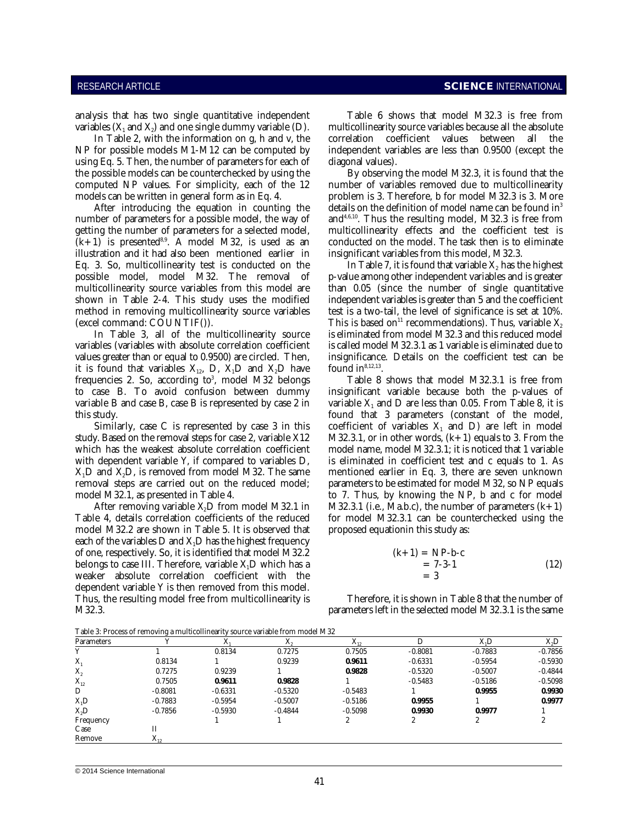variables  $(X_1 \text{ and } X_2)$  and one single dummy variable (D).<br>In Table 2, with the information on g, h and v, the

NP for possible models M1-M12 can be computed by independent variables are less than 0.9500 (except the using Eq. 5. Then, the number of parameters for each of diagonal values). the possible models can be counterchecked by using the By observing the model M32.3, it is found that the computed NP values. For simplicity, each of the 12 number of variables removed due to multicollinearity models can be written in general form as in Eq. 4. problem is 3. Therefore, b for model M32.3 is 3. More

After introducing the equation in counting the number of parameters for a possible model, the way of  $and<sup>4,6,10</sup>$ . Thus the resulting model, M32.3 is free from getting the number of parameters for a selected model, multicollinearity effects and the coefficient test is  $(k+1)$  is presented<sup>8,9</sup>. A model M32, is used as an conducted on the model. The task then is to eliminate illustration and it had also been mentioned earlier in insignificant variables from this model, M32.3. Eq. 3. So, multicollinearity test is conducted on the possible model, model M32. The removal of p-value among other independent variables and is greater multicollinearity source variables from this model are than 0.05 (since the number of single quantitative shown in Table 2-4. This study uses the modified independent variables is greater than 5 and the coefficient

variables (variables with absolute correlation coefficient is called model M32.3.1 as 1 variable is eliminated due to values greater than or equal to 0.9500) are circled. Then, insignificance. Details on the coefficient test can be it is found that variables  $X_{12}$ , D,  $X_1D$  and  $X_2D$  have frequencies 2. So, according to $3$ , model M32 belongs to case B. To avoid confusion between dummy insignificant variable because both the p-values of variable B and case B, case B is represented by case 2 in variable  $\rm X_i$  and D are less than 0.05. From Table 8, it is this study. found that 3 parameters (constant of the model,

study. Based on the removal steps for case 2, variable  $X12$  M32.3.1, or in other words,  $(k+1)$  equals to 3. From the which has the weakest absolute correlation coefficient model name, model M32.3.1; it is noticed that 1 variable with dependent variable Y, if compared to variables D, is eliminated in coefficient test and c equals to 1. As  $X_1D$  and  $X_2D$ , is removed from model M32. The same mentioned earlier in Eq. 3, there are seven unknown removal steps are carried out on the reduced model; parameters to be estimated for model M32, so NP equals

After removing variable  $X_2D$  from model M32.1 in M32.3.1 (i.e., Ma.b.c), the number of parameters  $(k+1)$ <br>Table 4, details correlation coefficients of the reduced for model M32.3.1 can be counterchecked using the model M32.2 are shown in Table 5. It is observed that proposed equationin this study as: each of the variables  $D$  and  $X<sub>1</sub>D$  has the highest frequency of one, respectively. So, it is identified that model M32.2 (k+1) belongs to case III. Therefore, variable  $X<sub>i</sub>$  which has a weaker absolute correlation coefficient with the dependent variable Y is then removed from this model. Thus, the resulting model free from multicollinearity is Therefore, it is shown in Table 8 that the number of M32.3. parameters left in the selected model M32.3.1 is the same

analysis that has two single quantitative independent Table 6 shows that model M32.3 is free from multicollinearity source variables because all the absolute correlation coefficient values between all the

details on the definition of model name can be found in<sup>3</sup>

method in removing multicollinearity source variables test is a two-tail, the level of significance is set at 10%.<br>(excel command: COUNTIF()). This is based on<sup>11</sup> recommendations). Thus, variable  $X_2$ (excel command: COUNTIF()). This is based on<sup>11</sup> recommendations). Thus, variable  $X_2$ In Table 3, all of the multicollinearity source is eliminated from model M32.3 and this reduced model In Table 7, it is found that variable  $X_2$  has the highest found  $in^{8,12,13}$ .

Table 8 shows that model M32.3.1 is free from Similarly, case C is represented by case 3 in this coefficient of variables  $X_i$  and D) are left in model model M32.1, as presented in Table 4. to 7. Thus, by knowing the NP, b and c for model for model M32.3.1 can be counterchecked using the

$$
k+1) = NP-b-c
$$
  
= 7-3-1 (12)  
= 3

Table 3: Process of removing a multicollinearity source variable from model M32

| Parameters       |                |           | $\mathbf{v}$<br>$\Lambda$ | v<br>$\mathbf{A}_{12}$ |           | X <sub>1</sub> D | $X_2D$    |
|------------------|----------------|-----------|---------------------------|------------------------|-----------|------------------|-----------|
|                  |                | 0.8134    | 0.7275                    | 0.7505                 | $-0.8081$ | $-0.7883$        | $-0.7856$ |
| $X_{1}$          | 0.8134         |           | 0.9239                    | 0.9611                 | $-0.6331$ | $-0.5954$        | $-0.5930$ |
| $X_{2}$          | 0.7275         | 0.9239    |                           | 0.9828                 | $-0.5320$ | $-0.5007$        | $-0.4844$ |
| $X_{12}$         | 0.7505         | 0.9611    | 0.9828                    |                        | $-0.5483$ | $-0.5186$        | $-0.5098$ |
| D                | $-0.8081$      | $-0.6331$ | $-0.5320$                 | $-0.5483$              |           | 0.9955           | 0.9930    |
| $X_1D$           | $-0.7883$      | $-0.5954$ | $-0.5007$                 | $-0.5186$              | 0.9955    |                  | 0.9977    |
| X <sub>2</sub> D | $-0.7856$      | $-0.5930$ | $-0.4844$                 | $-0.5098$              | 0.9930    | 0.9977           |           |
| Frequency        |                |           |                           |                        |           | 2                |           |
| Case             | П              |           |                           |                        |           |                  |           |
| Remove           | $\Lambda_{12}$ |           |                           |                        |           |                  |           |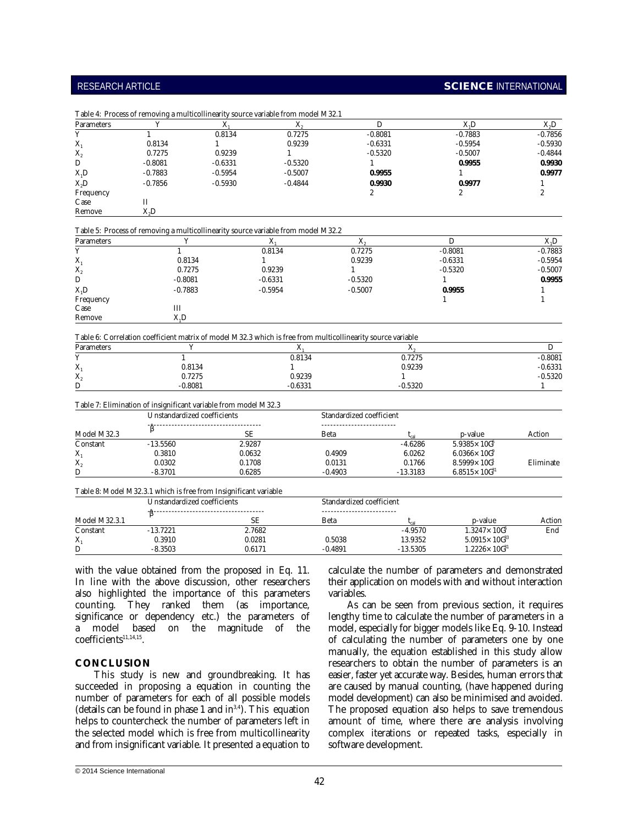# RESEARCH ARTICLE **SCIENCE** INTERNATIONAL

| Parameters       |           |           | Λ.        |           | X.D       | X <sub>2</sub> D |
|------------------|-----------|-----------|-----------|-----------|-----------|------------------|
|                  |           | 0.8134    | 0.7275    | $-0.8081$ | $-0.7883$ | $-0.7856$        |
| $X_{1}$          | 0.8134    |           | 0.9239    | $-0.6331$ | $-0.5954$ | $-0.5930$        |
| $X_{2}$          | 0.7275    | 0.9239    |           | $-0.5320$ | $-0.5007$ | $-0.4844$        |
| D                | $-0.8081$ | $-0.6331$ | $-0.5320$ |           | 0.9955    | 0.9930           |
| $X_1D$           | $-0.7883$ | $-0.5954$ | $-0.5007$ | 0.9955    |           | 0.9977           |
| X <sub>2</sub> D | $-0.7856$ | $-0.5930$ | $-0.4844$ | 0.9930    | 0.9977    |                  |
| Frequency        |           |           |           |           |           |                  |
| Case             |           |           |           |           |           |                  |
| Remove           | X,D       |           |           |           |           |                  |

| Parameters |           | $\Lambda$ | $\Lambda$ |           | X, D      |
|------------|-----------|-----------|-----------|-----------|-----------|
|            |           | 0.8134    | 0.7275    | $-0.8081$ | $-0.7883$ |
| $X_1$      | 0.8134    |           | 0.9239    | $-0.6331$ | $-0.5954$ |
| $X_{2}$    | 0.7275    | 0.9239    |           | $-0.5320$ | $-0.5007$ |
| D          | $-0.8081$ | $-0.6331$ | $-0.5320$ |           | 0.9955    |
| $X_1D$     | $-0.7883$ | $-0.5954$ | $-0.5007$ | 0.9955    |           |
| Frequency  |           |           |           |           |           |
| Case       | Ш         |           |           |           |           |
| Remove     | X, D      |           |           |           |           |

|                        | Table 6: Correlation coefficient matrix of model M32.3 which is free from multicollinearity source variable |           |           |           |  |  |  |
|------------------------|-------------------------------------------------------------------------------------------------------------|-----------|-----------|-----------|--|--|--|
| Parameters             |                                                                                                             |           | 770       |           |  |  |  |
|                        |                                                                                                             | 0.8134    | 0.7275    | -0.8081   |  |  |  |
| A                      | 0.8134                                                                                                      |           | 0.9239    | -0.6331   |  |  |  |
| $\Lambda$ <sup>2</sup> | 0.7275                                                                                                      | 0.9239    |           | $-0.5320$ |  |  |  |
| D                      | -0.8081                                                                                                     | $-0.6331$ | $-0.5320$ |           |  |  |  |

|  |  | Table 7: Elimination of insignificant variable from model M32.3 |  |  |
|--|--|-----------------------------------------------------------------|--|--|
|--|--|-----------------------------------------------------------------|--|--|

|             | Unstandardized coefficients. |           | Standardized coefficient |            |                         |           |  |
|-------------|------------------------------|-----------|--------------------------|------------|-------------------------|-----------|--|
|             |                              |           |                          |            |                         |           |  |
| Model M32.3 |                              | <b>SE</b> | Beta                     |            | p-value                 | Action    |  |
| Constant    | $-13.5560$                   | 2.9287    |                          | $-4.6286$  | $5.9385 \times 100^{6}$ |           |  |
| $X_1$       | 0.3810                       | 0.0632    | 0.4909                   | 6.0262     | $6.0366 \times 100^{9}$ |           |  |
| $X_{2}$     | 0.0302                       | 0.1708    | 0.0131                   | 0.1766     | $8.5999 \times 100^{1}$ | Eliminate |  |
| D           | $-8.3701$                    | 0.6285    | $-0.4903$                | $-13.3183$ | $6.8515\times100^{31}$  |           |  |

|               | Table 8: Model M32.3.1 which is free from Insignificant variable |                              |           |                          |                          |        |
|---------------|------------------------------------------------------------------|------------------------------|-----------|--------------------------|--------------------------|--------|
|               |                                                                  | Unstandardized coefficients. |           | Standardized coefficient |                          |        |
|               |                                                                  |                              |           |                          |                          |        |
| Model M32.3.1 |                                                                  | SE.                          | Beta      |                          | p-value                  | Action |
| Constant      | $-13.7221$                                                       | 2.7682                       |           | -4.9570                  | $1.3247 \times 100^{6}$  | End    |
| X.            | 0.3910                                                           | 0.0281                       | 0.5038    | 13.9352                  | $5.0915 \times 100^{33}$ |        |
| D             | $-8.3503$                                                        | 0.6171                       | $-0.4891$ | $-13.5305$               | $1.2226\times 10^{31}$   |        |

also highlighted the importance of this parameters variables. counting. They ranked them (as importance, As can be seen from previous section, it requires significance or dependency etc.) the parameters of lengthy time to calculate the number of parameters in a a model based on the magnitude of the model, especially for bigger models like Eq. 9-10. Instead coefficients<sup>11,14,15</sup>.

This study is new and groundbreaking. It has easier, faster yet accurate way. Besides, human errors that succeeded in proposing a equation in counting the are caused by manual counting, (have happened during number of parameters for each of all possible models model development) can also be minimised and avoided. (details can be found in phase 1 and in  $34$ ). This equation The proposed equation also helps to save tremendous helps to countercheck the number of parameters left in amount of time, where there are analysis involving (details can be found in phase 1 and  $in<sup>3,4</sup>$ ). This equation helps to countercheck the number of parameters left in amount of time, where there are analysis involving the selected model which is free from multicollinearity complex iterations or repeated tasks, especially in and from insignificant variable. It presented a equation to software development.

with the value obtained from the proposed in Eq. 11. calculate the number of parameters and demonstrated In line with the above discussion, other researchers their application on models with and without interaction their application on models with and without interaction

of calculating the number of parameters one by one **CONCLUSION** researchers to obtain the number of parameters is an are caused by manual counting, (have happened during complex iterations or repeated tasks, especially in manually, the equation established in this study allow